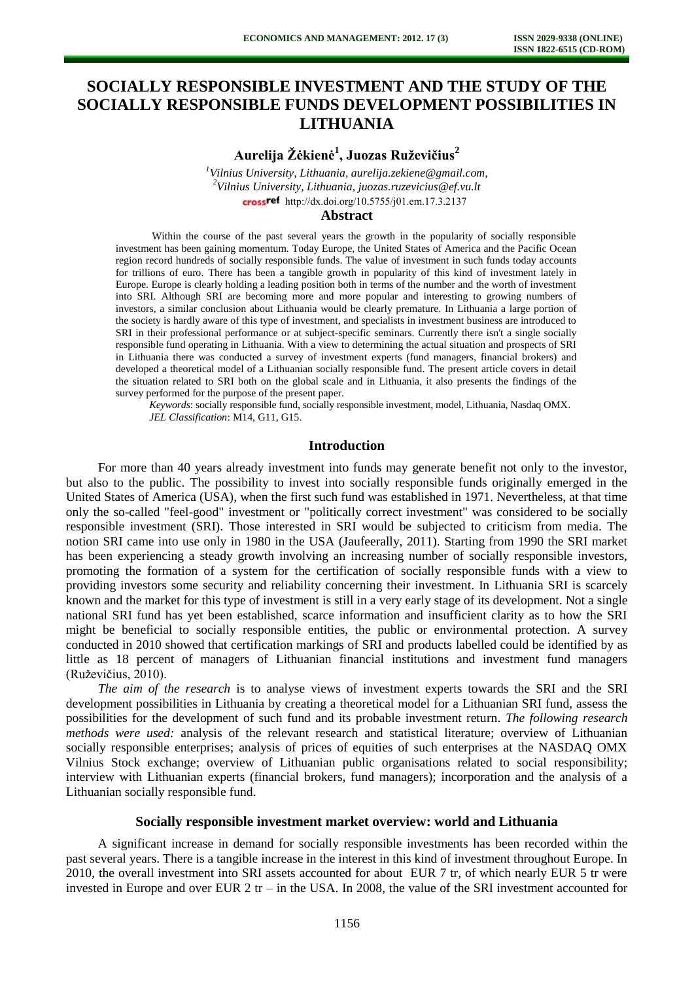# **SOCIALLY RESPONSIBLE INVESTMENT AND THE STUDY OF THE SOCIALLY RESPONSIBLE FUNDS DEVELOPMENT POSSIBILITIES IN LITHUANIA**

**Aurelija Žėkienė<sup>1</sup> , Juozas Ruževičius<sup>2</sup>**

*<sup>1</sup>Vilnius University, Lithuania, [aurelija.zekiene@gmail.com,](mailto:aurelija.zekiene@gmail.com) <sup>2</sup>Vilnius University, Lithuania, juozas.ruzevicius@ef.vu.lt*  crossref [http://dx.doi.org/10.5755/j01.e](http://dx.doi.org/10.5755/j01.em.17.3.2137)m.17.3.2137

## **Abstract**

 Within the course of the past several years the growth in the popularity of socially responsible investment has been gaining momentum. Today Europe, the United States of America and the Pacific Ocean region record hundreds of socially responsible funds. The value of investment in such funds today accounts for trillions of euro. There has been a tangible growth in popularity of this kind of investment lately in Europe. Europe is clearly holding a leading position both in terms of the number and the worth of investment into SRI. Although SRI are becoming more and more popular and interesting to growing numbers of investors, a similar conclusion about Lithuania would be clearly premature. In Lithuania a large portion of the society is hardly aware of this type of investment, and specialists in investment business are introduced to SRI in their professional performance or at subject-specific seminars. Currently there isn't a single socially responsible fund operating in Lithuania. With a view to determining the actual situation and prospects of SRI in Lithuania there was conducted a survey of investment experts (fund managers, financial brokers) and developed a theoretical model of a Lithuanian socially responsible fund. The present article covers in detail the situation related to SRI both on the global scale and in Lithuania, it also presents the findings of the survey performed for the purpose of the present paper.

*Keywords*: socially responsible fund, socially responsible investment, model, Lithuania, Nasdaq OMX. *JEL Classification*: M14, G11, G15.

#### **Introduction**

For more than 40 years already investment into funds may generate benefit not only to the investor, but also to the public. The possibility to invest into socially responsible funds originally emerged in the United States of America (USA), when the first such fund was established in 1971. Nevertheless, at that time only the so-called "feel-good" investment or "politically correct investment" was considered to be socially responsible investment (SRI). Those interested in SRI would be subjected to criticism from media. The notion SRI came into use only in 1980 in the USA [\(Jaufeerally,](http://www.springerlink.com/content/?Author=Reza+Zain+Jaufeerally) 2011). Starting from 1990 the SRI market has been experiencing a steady growth involving an increasing number of socially responsible investors, promoting the formation of a system for the certification of socially responsible funds with a view to providing investors some security and reliability concerning their investment. In Lithuania SRI is scarcely known and the market for this type of investment is still in a very early stage of its development. Not a single national SRI fund has yet been established, scarce information and insufficient clarity as to how the SRI might be beneficial to socially responsible entities, the public or environmental protection. A survey conducted in 2010 showed that certification markings of SRI and products labelled could be identified by as little as 18 percent of managers of Lithuanian financial institutions and investment fund managers (Ruževičius, 2010).

*The aim of the research* is to analyse views of investment experts towards the SRI and the SRI development possibilities in Lithuania by creating a theoretical model for a Lithuanian SRI fund, assess the possibilities for the development of such fund and its probable investment return. *The following research methods were used:* analysis of the relevant research and statistical literature; overview of Lithuanian socially responsible enterprises; analysis of prices of equities of such enterprises at the NASDAQ OMX Vilnius Stock exchange; overview of Lithuanian public organisations related to social responsibility; interview with Lithuanian experts (financial brokers, fund managers); incorporation and the analysis of a Lithuanian socially responsible fund.

## **Socially responsible investment market overview: world and Lithuania**

A significant increase in demand for socially responsible investments has been recorded within the past several years. There is a tangible increase in the interest in this kind of investment throughout Europe. In 2010, the overall investment into SRI assets accounted for about EUR 7 tr, of which nearly EUR 5 tr were invested in Europe and over EUR 2 tr – in the USA. In 2008, the value of the SRI investment accounted for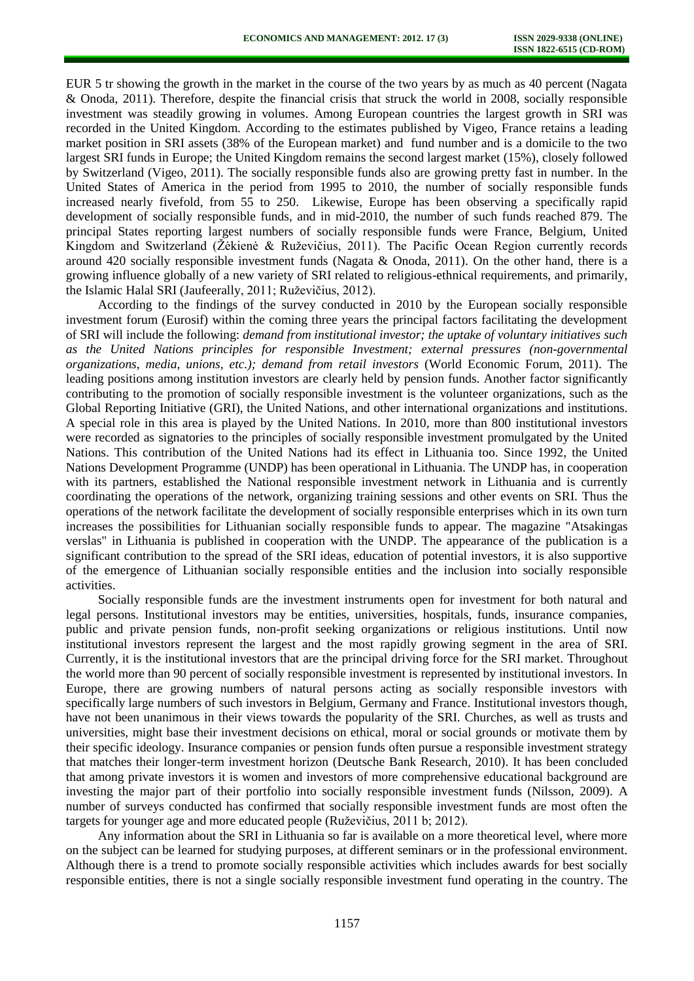EUR 5 tr showing the growth in the market in the course of the two years by as much as 40 percent (Nagata & Onoda, 2011). Therefore, despite the financial crisis that struck the world in 2008, socially responsible investment was steadily growing in volumes. Among European countries the largest growth in SRI was recorded in the United Kingdom. According to the estimates published by Vigeo, France retains a leading market position in SRI assets (38% of the European market) and fund number and is a domicile to the two largest SRI funds in Europe; the United Kingdom remains the second largest market (15%), closely followed by Switzerland (Vigeo, 2011). The socially responsible funds also are growing pretty fast in number. In the United States of America in the period from 1995 to 2010, the number of socially responsible funds increased nearly fivefold, from 55 to 250. Likewise, Europe has been observing a specifically rapid development of socially responsible funds, and in mid-2010, the number of such funds reached 879. The principal States reporting largest numbers of socially responsible funds were France, Belgium, United Kingdom and Switzerland (Žėkienė & Ruževičius, 2011). The Pacific Ocean Region currently records around 420 socially responsible investment funds (Nagata & Onoda, 2011). On the other hand, there is a growing influence globally of a new variety of SRI related to religious-ethnical requirements, and primarily, the Islamic Halal SRI [\(Jaufeerally,](http://www.springerlink.com/content/?Author=Reza+Zain+Jaufeerally) 2011; Ruževičius, 2012).

According to the findings of the survey conducted in 2010 by the European socially responsible investment forum (Eurosif) within the coming three years the principal factors facilitating the development of SRI will include the following: *demand from institutional investor; the uptake of voluntary initiatives such as the United Nations principles for responsible Investment; external pressures (non-governmental organizations, media, unions, etc.); demand from retail investors* (World Economic Forum, 2011). The leading positions among institution investors are clearly held by pension funds. Another factor significantly contributing to the promotion of socially responsible investment is the volunteer organizations, such as the Global Reporting Initiative (GRI), the United Nations, and other international organizations and institutions. A special role in this area is played by the United Nations. In 2010, more than 800 institutional investors were recorded as signatories to the principles of socially responsible investment promulgated by the United Nations. This contribution of the United Nations had its effect in Lithuania too. Since 1992, the United Nations Development Programme (UNDP) has been operational in Lithuania. The UNDP has, in cooperation with its partners, established the National responsible investment network in Lithuania and is currently coordinating the operations of the network, organizing training sessions and other events on SRI. Thus the operations of the network facilitate the development of socially responsible enterprises which in its own turn increases the possibilities for Lithuanian socially responsible funds to appear. The magazine "Atsakingas verslas" in Lithuania is published in cooperation with the UNDP. The appearance of the publication is a significant contribution to the spread of the SRI ideas, education of potential investors, it is also supportive of the emergence of Lithuanian socially responsible entities and the inclusion into socially responsible activities.

Socially responsible funds are the investment instruments open for investment for both natural and legal persons. Institutional investors may be entities, universities, hospitals, funds, insurance companies, public and private pension funds, non-profit seeking organizations or religious institutions. Until now institutional investors represent the largest and the most rapidly growing segment in the area of SRI. Currently, it is the institutional investors that are the principal driving force for the SRI market. Throughout the world more than 90 percent of socially responsible investment is represented by institutional investors. In Europe, there are growing numbers of natural persons acting as socially responsible investors with specifically large numbers of such investors in Belgium, Germany and France. Institutional investors though, have not been unanimous in their views towards the popularity of the SRI. Churches, as well as trusts and universities, might base their investment decisions on ethical, moral or social grounds or motivate them by their specific ideology. Insurance companies or pension funds often pursue a responsible investment strategy that matches their longer-term investment horizon (Deutsche Bank Research, 2010). It has been concluded that among private investors it is women and investors of more comprehensive educational background are investing the major part of their portfolio into socially responsible investment funds (Nilsson, 2009). A number of surveys conducted has confirmed that socially responsible investment funds are most often the targets for younger age and more educated people (Ruževičius, 2011 b; 2012).

Any information about the SRI in Lithuania so far is available on a more theoretical level, where more on the subject can be learned for studying purposes, at different seminars or in the professional environment. Although there is a trend to promote socially responsible activities which includes awards for best socially responsible entities, there is not a single socially responsible investment fund operating in the country. The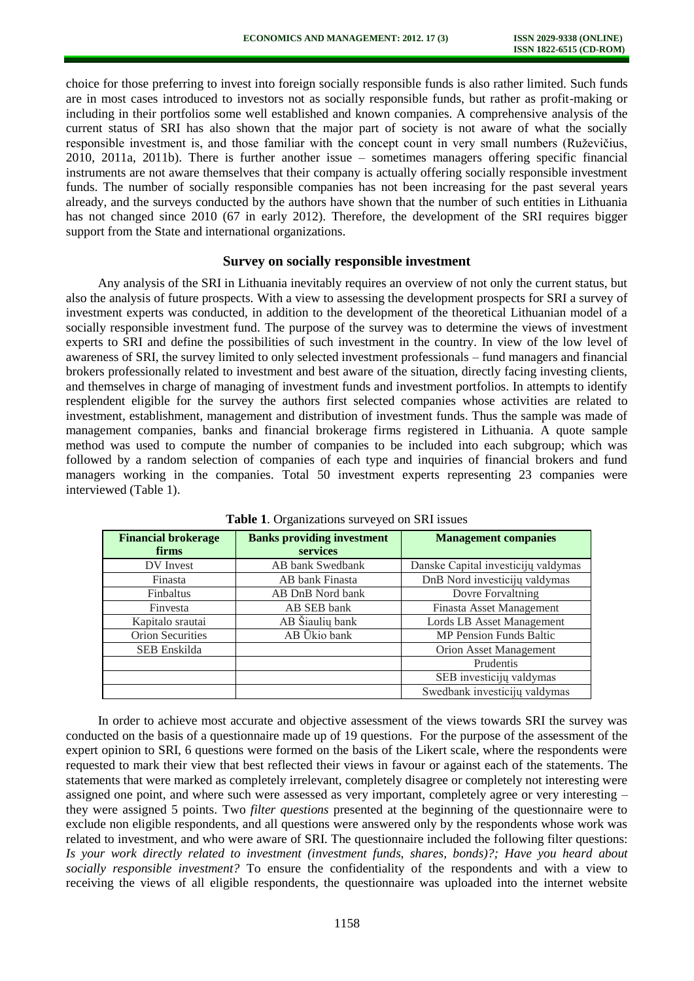choice for those preferring to invest into foreign socially responsible funds is also rather limited. Such funds are in most cases introduced to investors not as socially responsible funds, but rather as profit-making or including in their portfolios some well established and known companies. A comprehensive analysis of the current status of SRI has also shown that the major part of society is not aware of what the socially responsible investment is, and those familiar with the concept count in very small numbers (Ruževičius, 2010, 2011a, 2011b). There is further another issue – sometimes managers offering specific financial instruments are not aware themselves that their company is actually offering socially responsible investment funds. The number of socially responsible companies has not been increasing for the past several years already, and the surveys conducted by the authors have shown that the number of such entities in Lithuania has not changed since 2010 (67 in early 2012). Therefore, the development of the SRI requires bigger support from the State and international organizations.

## **Survey on socially responsible investment**

Any analysis of the SRI in Lithuania inevitably requires an overview of not only the current status, but also the analysis of future prospects. With a view to assessing the development prospects for SRI a survey of investment experts was conducted, in addition to the development of the theoretical Lithuanian model of a socially responsible investment fund. The purpose of the survey was to determine the views of investment experts to SRI and define the possibilities of such investment in the country. In view of the low level of awareness of SRI, the survey limited to only selected investment professionals – fund managers and financial brokers professionally related to investment and best aware of the situation, directly facing investing clients, and themselves in charge of managing of investment funds and investment portfolios. In attempts to identify resplendent eligible for the survey the authors first selected companies whose activities are related to investment, establishment, management and distribution of investment funds. Thus the sample was made of management companies, banks and financial brokerage firms registered in Lithuania. A quote sample method was used to compute the number of companies to be included into each subgroup; which was followed by a random selection of companies of each type and inquiries of financial brokers and fund managers working in the companies. Total 50 investment experts representing 23 companies were interviewed (Table 1).

| <b>Financial brokerage</b><br>firms | <b>Banks providing investment</b><br><b>services</b> | <b>Management companies</b>         |  |  |
|-------------------------------------|------------------------------------------------------|-------------------------------------|--|--|
| DV Invest                           | AB bank Swedbank                                     | Danske Capital investicijų valdymas |  |  |
| Finasta                             | AB bank Finasta                                      | DnB Nord investicijų valdymas       |  |  |
| Finbaltus                           | AB DnB Nord bank                                     | Dovre Forvaltning                   |  |  |
| Finvesta                            | AB SEB bank                                          | Finasta Asset Management            |  |  |
| Kapitalo srautai                    | AB Šiaulių bank                                      | <b>Lords LB Asset Management</b>    |  |  |
| <b>Orion Securities</b>             | AB Ūkio bank                                         | <b>MP Pension Funds Baltic</b>      |  |  |
| SEB Enskilda                        |                                                      | Orion Asset Management              |  |  |
|                                     |                                                      | Prudentis                           |  |  |
|                                     |                                                      | SEB investicijų valdymas            |  |  |
|                                     |                                                      | Swedbank investicijų valdymas       |  |  |

**Table 1**. Organizations surveyed on SRI issues

In order to achieve most accurate and objective assessment of the views towards SRI the survey was conducted on the basis of a questionnaire made up of 19 questions. For the purpose of the assessment of the expert opinion to SRI, 6 questions were formed on the basis of the Likert scale, where the respondents were requested to mark their view that best reflected their views in favour or against each of the statements. The statements that were marked as completely irrelevant, completely disagree or completely not interesting were assigned one point, and where such were assessed as very important, completely agree or very interesting – they were assigned 5 points. Two *filter questions* presented at the beginning of the questionnaire were to exclude non eligible respondents, and all questions were answered only by the respondents whose work was related to investment, and who were aware of SRI. The questionnaire included the following filter questions: *Is your work directly related to investment (investment funds, shares, bonds)?; Have you heard about socially responsible investment?* To ensure the confidentiality of the respondents and with a view to receiving the views of all eligible respondents, the questionnaire was uploaded into the internet website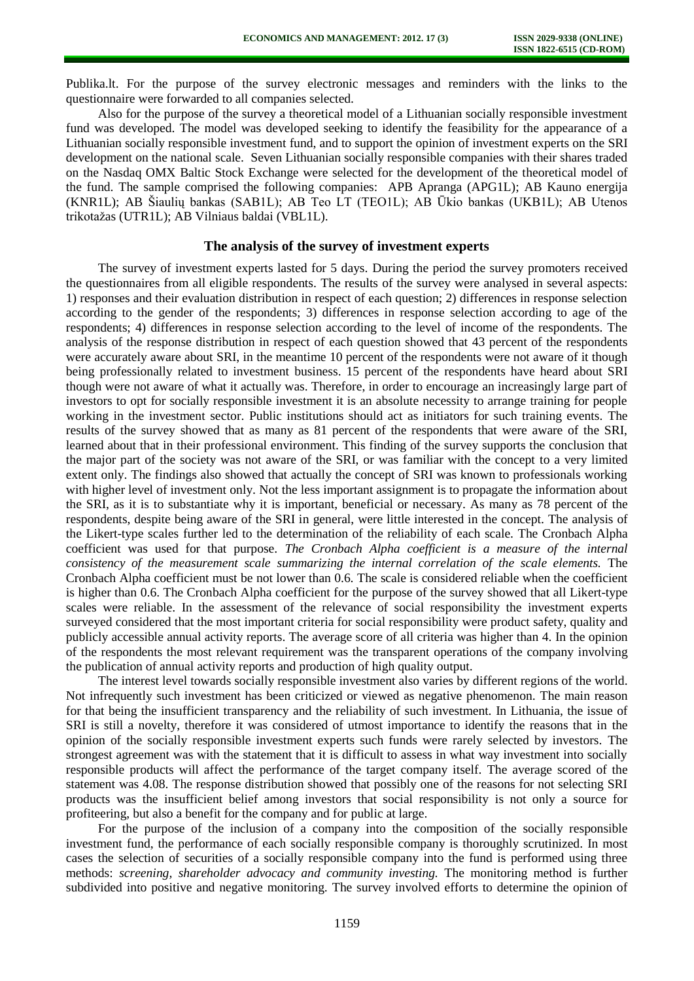Publika.lt. For the purpose of the survey electronic messages and reminders with the links to the questionnaire were forwarded to all companies selected.

Also for the purpose of the survey a theoretical model of a Lithuanian socially responsible investment fund was developed. The model was developed seeking to identify the feasibility for the appearance of a Lithuanian socially responsible investment fund, and to support the opinion of investment experts on the SRI development on the national scale. Seven Lithuanian socially responsible companies with their shares traded on the Nasdaq OMX Baltic Stock Exchange were selected for the development of the theoretical model of the fund. The sample comprised the following companies: APB Apranga (APG1L); AB Kauno energija (KNR1L); AB Šiaulių bankas (SAB1L); AB Teo LT (TEO1L); AB Ūkio bankas (UKB1L); AB Utenos trikotažas (UTR1L); AB Vilniaus baldai (VBL1L).

# **The analysis of the survey of investment experts**

The survey of investment experts lasted for 5 days. During the period the survey promoters received the questionnaires from all eligible respondents. The results of the survey were analysed in several aspects: 1) responses and their evaluation distribution in respect of each question; 2) differences in response selection according to the gender of the respondents; 3) differences in response selection according to age of the respondents; 4) differences in response selection according to the level of income of the respondents. The analysis of the response distribution in respect of each question showed that 43 percent of the respondents were accurately aware about SRI, in the meantime 10 percent of the respondents were not aware of it though being professionally related to investment business. 15 percent of the respondents have heard about SRI though were not aware of what it actually was. Therefore, in order to encourage an increasingly large part of investors to opt for socially responsible investment it is an absolute necessity to arrange training for people working in the investment sector. Public institutions should act as initiators for such training events. The results of the survey showed that as many as 81 percent of the respondents that were aware of the SRI, learned about that in their professional environment. This finding of the survey supports the conclusion that the major part of the society was not aware of the SRI, or was familiar with the concept to a very limited extent only. The findings also showed that actually the concept of SRI was known to professionals working with higher level of investment only. Not the less important assignment is to propagate the information about the SRI, as it is to substantiate why it is important, beneficial or necessary. As many as 78 percent of the respondents, despite being aware of the SRI in general, were little interested in the concept. The analysis of the Likert-type scales further led to the determination of the reliability of each scale. The Cronbach Alpha coefficient was used for that purpose. *The Cronbach Alpha coefficient is a measure of the internal consistency of the measurement scale summarizing the internal correlation of the scale elements.* The Cronbach Alpha coefficient must be not lower than 0.6. The scale is considered reliable when the coefficient is higher than 0.6. The Cronbach Alpha coefficient for the purpose of the survey showed that all Likert-type scales were reliable. In the assessment of the relevance of social responsibility the investment experts surveyed considered that the most important criteria for social responsibility were product safety, quality and publicly accessible annual activity reports. The average score of all criteria was higher than 4. In the opinion of the respondents the most relevant requirement was the transparent operations of the company involving the publication of annual activity reports and production of high quality output.

The interest level towards socially responsible investment also varies by different regions of the world. Not infrequently such investment has been criticized or viewed as negative phenomenon. The main reason for that being the insufficient transparency and the reliability of such investment. In Lithuania, the issue of SRI is still a novelty, therefore it was considered of utmost importance to identify the reasons that in the opinion of the socially responsible investment experts such funds were rarely selected by investors. The strongest agreement was with the statement that it is difficult to assess in what way investment into socially responsible products will affect the performance of the target company itself. The average scored of the statement was 4.08. The response distribution showed that possibly one of the reasons for not selecting SRI products was the insufficient belief among investors that social responsibility is not only a source for profiteering, but also a benefit for the company and for public at large.

For the purpose of the inclusion of a company into the composition of the socially responsible investment fund, the performance of each socially responsible company is thoroughly scrutinized. In most cases the selection of securities of a socially responsible company into the fund is performed using three methods: *screening, shareholder advocacy and community investing.* The monitoring method is further subdivided into positive and negative monitoring. The survey involved efforts to determine the opinion of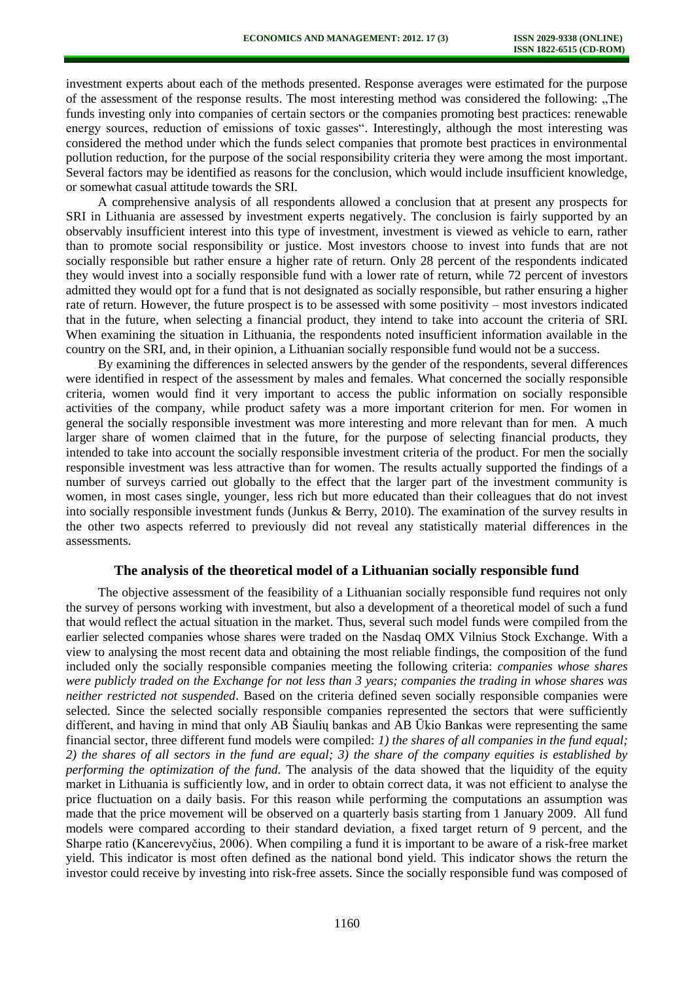investment experts about each of the methods presented. Response averages were estimated for the purpose of the assessment of the response results. The most interesting method was considered the following: "The funds investing only into companies of certain sectors or the companies promoting best practices: renewable energy sources, reduction of emissions of toxic gasses". Interestingly, although the most interesting was considered the method under which the funds select companies that promote best practices in environmental pollution reduction, for the purpose of the social responsibility criteria they were among the most important. Several factors may be identified as reasons for the conclusion, which would include insufficient knowledge, or somewhat casual attitude towards the SRI.

A comprehensive analysis of all respondents allowed a conclusion that at present any prospects for SRI in Lithuania are assessed by investment experts negatively. The conclusion is fairly supported by an observably insufficient interest into this type of investment, investment is viewed as vehicle to earn, rather than to promote social responsibility or justice. Most investors choose to invest into funds that are not socially responsible but rather ensure a higher rate of return. Only 28 percent of the respondents indicated they would invest into a socially responsible fund with a lower rate of return, while 72 percent of investors admitted they would opt for a fund that is not designated as socially responsible, but rather ensuring a higher rate of return. However, the future prospect is to be assessed with some positivity – most investors indicated that in the future, when selecting a financial product, they intend to take into account the criteria of SRI. When examining the situation in Lithuania, the respondents noted insufficient information available in the country on the SRI, and, in their opinion, a Lithuanian socially responsible fund would not be a success.

By examining the differences in selected answers by the gender of the respondents, several differences were identified in respect of the assessment by males and females. What concerned the socially responsible criteria, women would find it very important to access the public information on socially responsible activities of the company, while product safety was a more important criterion for men. For women in general the socially responsible investment was more interesting and more relevant than for men. A much larger share of women claimed that in the future, for the purpose of selecting financial products, they intended to take into account the socially responsible investment criteria of the product. For men the socially responsible investment was less attractive than for women. The results actually supported the findings of a number of surveys carried out globally to the effect that the larger part of the investment community is women, in most cases single, younger, less rich but more educated than their colleagues that do not invest into socially responsible investment funds (Junkus & Berry, 2010). The examination of the survey results in the other two aspects referred to previously did not reveal any statistically material differences in the assessments.

## **The analysis of the theoretical model of a Lithuanian socially responsible fund**

The objective assessment of the feasibility of a Lithuanian socially responsible fund requires not only the survey of persons working with investment, but also a development of a theoretical model of such a fund that would reflect the actual situation in the market. Thus, several such model funds were compiled from the earlier selected companies whose shares were traded on the Nasdaq OMX Vilnius Stock Exchange. With a view to analysing the most recent data and obtaining the most reliable findings, the composition of the fund included only the socially responsible companies meeting the following criteria: *companies whose shares were publicly traded on the Exchange for not less than 3 years; companies the trading in whose shares was neither restricted not suspended*. Based on the criteria defined seven socially responsible companies were selected. Since the selected socially responsible companies represented the sectors that were sufficiently different, and having in mind that only AB Šiaulių bankas and AB Ūkio Bankas were representing the same financial sector, three different fund models were compiled: *1) the shares of all companies in the fund equal; 2) the shares of all sectors in the fund are equal; 3) the share of the company equities is established by performing the optimization of the fund.* The analysis of the data showed that the liquidity of the equity market in Lithuania is sufficiently low, and in order to obtain correct data, it was not efficient to analyse the price fluctuation on a daily basis. For this reason while performing the computations an assumption was made that the price movement will be observed on a quarterly basis starting from 1 January 2009. All fund models were compared according to their standard deviation, a fixed target return of 9 percent, and the Sharpe ratio (Kancerevyčius, 2006). When compiling a fund it is important to be aware of a risk-free market yield. This indicator is most often defined as the national bond yield. This indicator shows the return the investor could receive by investing into risk-free assets. Since the socially responsible fund was composed of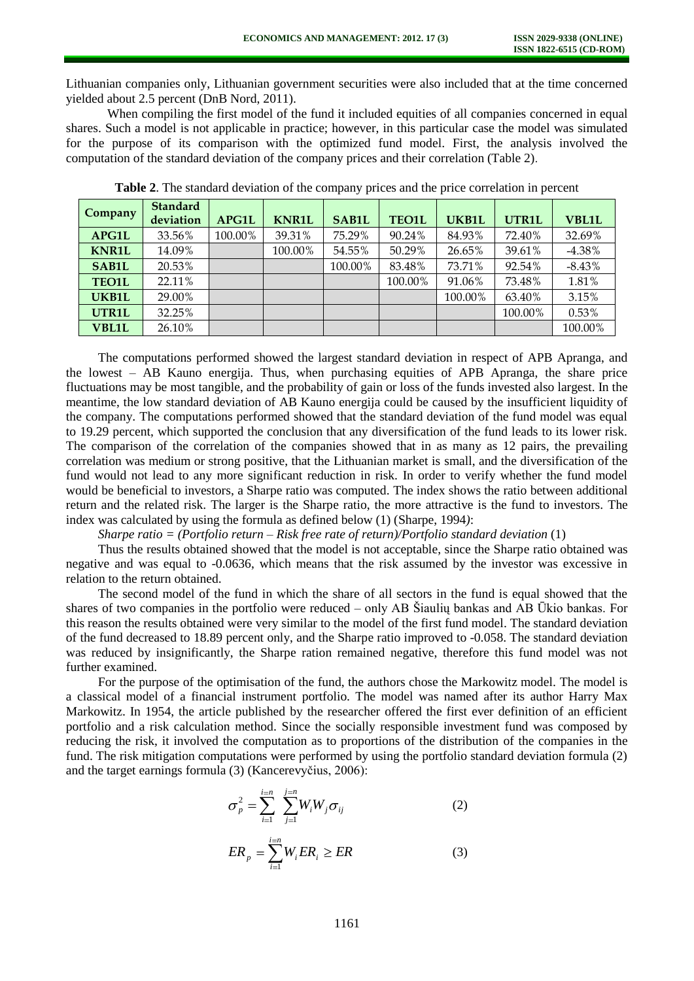Lithuanian companies only, Lithuanian government securities were also included that at the time concerned yielded about 2.5 percent (DnB Nord, 2011).

When compiling the first model of the fund it included equities of all companies concerned in equal shares. Such a model is not applicable in practice; however, in this particular case the model was simulated for the purpose of its comparison with the optimized fund model. First, the analysis involved the computation of the standard deviation of the company prices and their correlation (Table 2).

| Company      | <b>Standard</b><br>deviation | <b>APG1L</b> | <b>KNR1L</b> | <b>SAB1L</b> | <b>TEO1L</b> | UKB1L   | UTR1L   | <b>VBL1L</b> |
|--------------|------------------------------|--------------|--------------|--------------|--------------|---------|---------|--------------|
| <b>APG1L</b> | 33.56%                       | 100.00%      | 39.31%       | 75.29%       | 90.24%       | 84.93%  | 72.40%  | 32.69%       |
| <b>KNR1L</b> | 14.09%                       |              | 100.00%      | 54.55%       | 50.29%       | 26.65%  | 39.61%  | $-4.38%$     |
| <b>SAB1L</b> | 20.53%                       |              |              | 100.00%      | 83.48%       | 73.71%  | 92.54%  | $-8.43%$     |
| <b>TEO1L</b> | 22.11%                       |              |              |              | 100.00%      | 91.06%  | 73.48%  | 1.81%        |
| UKB1L        | 29.00%                       |              |              |              |              | 100.00% | 63.40%  | 3.15%        |
| UTR1L        | 32.25%                       |              |              |              |              |         | 100.00% | 0.53%        |
| <b>VBL1L</b> | 26.10%                       |              |              |              |              |         |         | 100.00%      |

**Table 2**. The standard deviation of the company prices and the price correlation in percent

The computations performed showed the largest standard deviation in respect of APB Apranga, and the lowest – AB Kauno energija. Thus, when purchasing equities of APB Apranga, the share price fluctuations may be most tangible, and the probability of gain or loss of the funds invested also largest. In the meantime, the low standard deviation of AB Kauno energija could be caused by the insufficient liquidity of the company. The computations performed showed that the standard deviation of the fund model was equal to 19.29 percent, which supported the conclusion that any diversification of the fund leads to its lower risk. The comparison of the correlation of the companies showed that in as many as 12 pairs, the prevailing correlation was medium or strong positive, that the Lithuanian market is small, and the diversification of the fund would not lead to any more significant reduction in risk. In order to verify whether the fund model would be beneficial to investors, a Sharpe ratio was computed. The index shows the ratio between additional return and the related risk. The larger is the Sharpe ratio, the more attractive is the fund to investors. The index was calculated by using the formula as defined below (1) (Sharpe, 1994*)*:

*Sharpe ratio = (Portfolio return – Risk free rate of return)/Portfolio standard deviation* (1)

Thus the results obtained showed that the model is not acceptable, since the Sharpe ratio obtained was negative and was equal to -0.0636, which means that the risk assumed by the investor was excessive in relation to the return obtained.

The second model of the fund in which the share of all sectors in the fund is equal showed that the shares of two companies in the portfolio were reduced – only AB Šiaulių bankas and AB Ūkio bankas. For this reason the results obtained were very similar to the model of the first fund model. The standard deviation of the fund decreased to 18.89 percent only, and the Sharpe ratio improved to -0.058. The standard deviation was reduced by insignificantly, the Sharpe ration remained negative, therefore this fund model was not further examined.

For the purpose of the optimisation of the fund, the authors chose the Markowitz model. The model is a classical model of a financial instrument portfolio. The model was named after its author Harry Max Markowitz. In 1954, the article published by the researcher offered the first ever definition of an efficient portfolio and a risk calculation method. Since the socially responsible investment fund was composed by reducing the risk, it involved the computation as to proportions of the distribution of the companies in the fund. The risk mitigation computations were performed by using the portfolio standard deviation formula (2) and the target earnings formula (3) (Kancerevyčius, 2006):

$$
\sigma_p^2 = \sum_{i=1}^{i=n} \sum_{j=1}^{j=n} W_i W_j \sigma_{ij}
$$
 (2)

$$
ER_p = \sum_{i=1}^{i=n} W_i ER_i \ge ER
$$
 (3)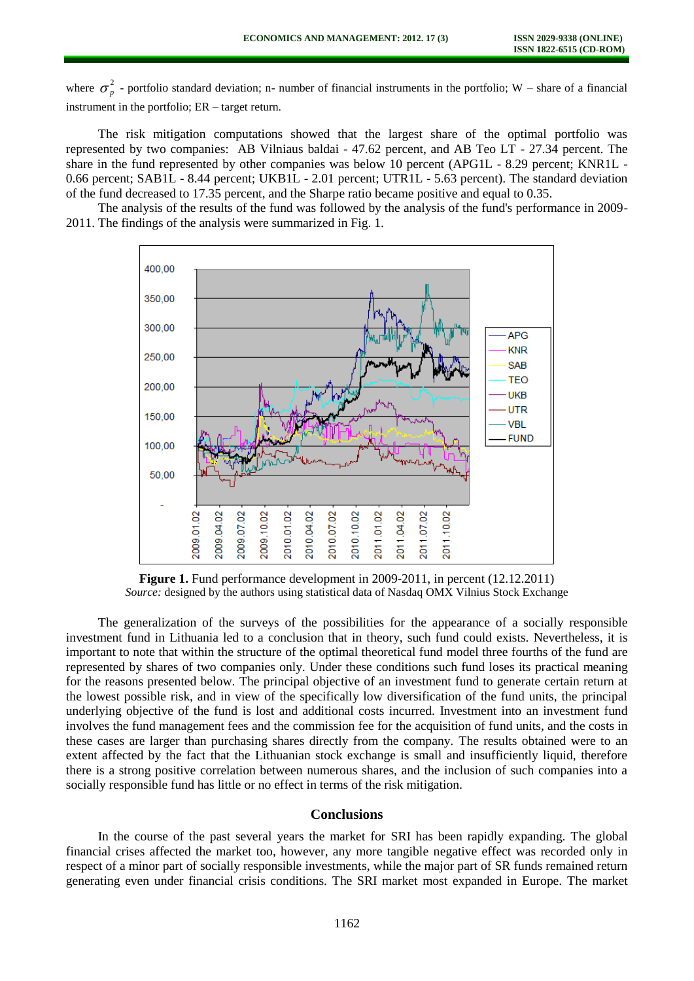where  $\sigma_n^2$  $_p^2$  - portfolio standard deviation; n- number of financial instruments in the portfolio; W – share of a financial instrument in the portfolio; ER – target return.

The risk mitigation computations showed that the largest share of the optimal portfolio was represented by two companies: AB Vilniaus baldai - 47.62 percent, and AB Teo LT - 27.34 percent. The share in the fund represented by other companies was below 10 percent (APG1L - 8.29 percent; KNR1L - 0.66 percent; SAB1L - 8.44 percent; UKB1L - 2.01 percent; UTR1L - 5.63 percent). The standard deviation of the fund decreased to 17.35 percent, and the Sharpe ratio became positive and equal to 0.35.

The analysis of the results of the fund was followed by the analysis of the fund's performance in 2009- 2011. The findings of the analysis were summarized in Fig. 1.



**Figure 1.** Fund performance development in 2009-2011, in percent (12.12.2011) *Source:* designed by the authors using statistical data of Nasdaq OMX Vilnius Stock Exchange

The generalization of the surveys of the possibilities for the appearance of a socially responsible investment fund in Lithuania led to a conclusion that in theory, such fund could exists. Nevertheless, it is important to note that within the structure of the optimal theoretical fund model three fourths of the fund are represented by shares of two companies only. Under these conditions such fund loses its practical meaning for the reasons presented below. The principal objective of an investment fund to generate certain return at the lowest possible risk, and in view of the specifically low diversification of the fund units, the principal underlying objective of the fund is lost and additional costs incurred. Investment into an investment fund involves the fund management fees and the commission fee for the acquisition of fund units, and the costs in these cases are larger than purchasing shares directly from the company. The results obtained were to an extent affected by the fact that the Lithuanian stock exchange is small and insufficiently liquid, therefore there is a strong positive correlation between numerous shares, and the inclusion of such companies into a socially responsible fund has little or no effect in terms of the risk mitigation.

#### **Conclusions**

In the course of the past several years the market for SRI has been rapidly expanding. The global financial crises affected the market too, however, any more tangible negative effect was recorded only in respect of a minor part of socially responsible investments, while the major part of SR funds remained return generating even under financial crisis conditions. The SRI market most expanded in Europe. The market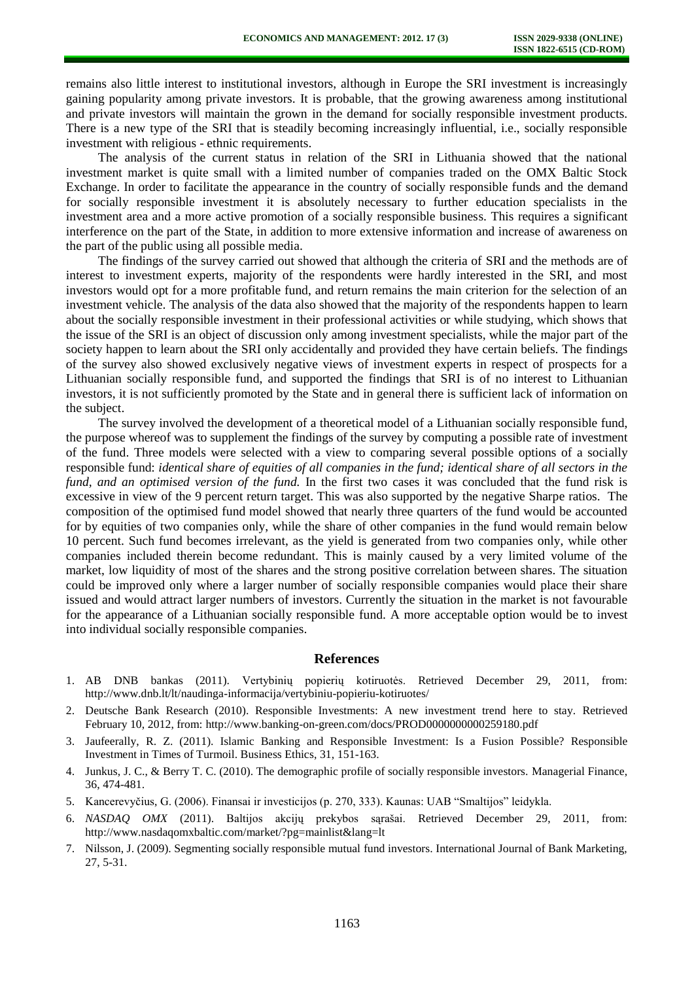remains also little interest to institutional investors, although in Europe the SRI investment is increasingly gaining popularity among private investors. It is probable, that the growing awareness among institutional and private investors will maintain the grown in the demand for socially responsible investment products. There is a new type of the SRI that is steadily becoming increasingly influential, i.e., socially responsible investment with religious - ethnic requirements.

The analysis of the current status in relation of the SRI in Lithuania showed that the national investment market is quite small with a limited number of companies traded on the OMX Baltic Stock Exchange. In order to facilitate the appearance in the country of socially responsible funds and the demand for socially responsible investment it is absolutely necessary to further education specialists in the investment area and a more active promotion of a socially responsible business. This requires a significant interference on the part of the State, in addition to more extensive information and increase of awareness on the part of the public using all possible media.

The findings of the survey carried out showed that although the criteria of SRI and the methods are of interest to investment experts, majority of the respondents were hardly interested in the SRI, and most investors would opt for a more profitable fund, and return remains the main criterion for the selection of an investment vehicle. The analysis of the data also showed that the majority of the respondents happen to learn about the socially responsible investment in their professional activities or while studying, which shows that the issue of the SRI is an object of discussion only among investment specialists, while the major part of the society happen to learn about the SRI only accidentally and provided they have certain beliefs. The findings of the survey also showed exclusively negative views of investment experts in respect of prospects for a Lithuanian socially responsible fund, and supported the findings that SRI is of no interest to Lithuanian investors, it is not sufficiently promoted by the State and in general there is sufficient lack of information on the subject.

The survey involved the development of a theoretical model of a Lithuanian socially responsible fund, the purpose whereof was to supplement the findings of the survey by computing a possible rate of investment of the fund. Three models were selected with a view to comparing several possible options of a socially responsible fund: *identical share of equities of all companies in the fund; identical share of all sectors in the fund, and an optimised version of the fund.* In the first two cases it was concluded that the fund risk is excessive in view of the 9 percent return target. This was also supported by the negative Sharpe ratios. The composition of the optimised fund model showed that nearly three quarters of the fund would be accounted for by equities of two companies only, while the share of other companies in the fund would remain below 10 percent. Such fund becomes irrelevant, as the yield is generated from two companies only, while other companies included therein become redundant. This is mainly caused by a very limited volume of the market, low liquidity of most of the shares and the strong positive correlation between shares. The situation could be improved only where a larger number of socially responsible companies would place their share issued and would attract larger numbers of investors. Currently the situation in the market is not favourable for the appearance of a Lithuanian socially responsible fund. A more acceptable option would be to invest into individual socially responsible companies.

#### **References**

- 1. AB DNB bankas (2011). Vertybinių popierių kotiruotės. Retrieved December 29, 2011, from: <http://www.dnb.lt/lt/naudinga-informacija/vertybiniu-popieriu-kotiruotes/>
- 2. Deutsche Bank Research (2010). Responsible Investments: A new investment trend here to stay. Retrieved February 10, 2012, from:<http://www.banking-on-green.com/docs/PROD0000000000259180.pdf>
- 3. [Jaufeerally,](http://www.springerlink.com/content/?Author=Reza+Zain+Jaufeerally) R. Z. (2011). Islamic Banking and Responsible Investment: Is a Fusion Possible? Responsible Investment in Times of Turmoil. Business Ethics, 31, 151-163.
- 4. Junkus, J. C., & Berry T. C. (2010). The demographic profile of socially responsible investors. Managerial Finance, 36, 474-481.
- 5. Kancerevyčius, G. (2006). Finansai ir investicijos (p. 270, 333). Kaunas: UAB "Smaltijos" leidykla.
- 6. *NASDAQ OMX* (2011). Baltijos akcijų prekybos sąrašai. Retrieved December 29, 2011, from: <http://www.nasdaqomxbaltic.com/market/?pg=mainlist&lang=lt>
- 7. Nilsson, J. (2009). Segmenting socially responsible mutual fund investors. International Journal of Bank Marketing, 27, 5-31.